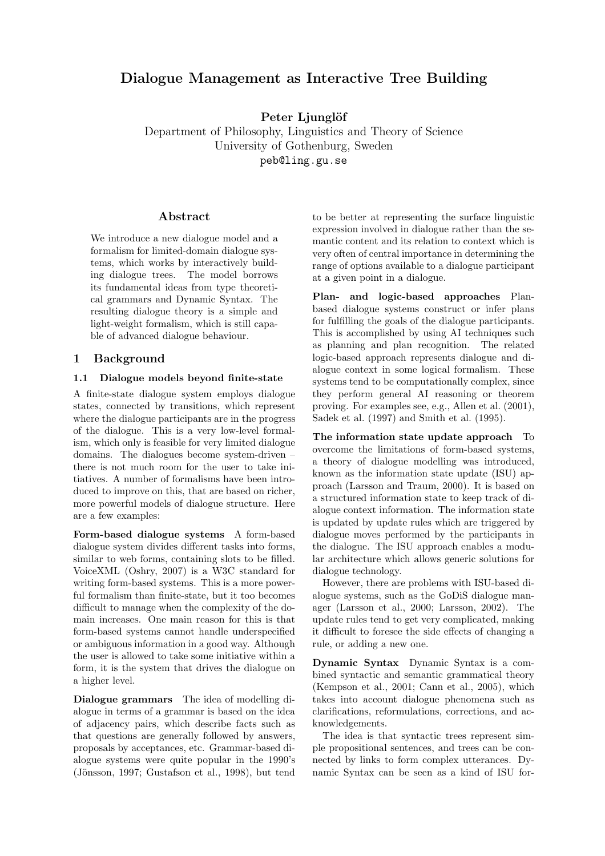# **Dialogue Management as Interactive Tree Building**

**Peter Ljunglöf**

Department of Philosophy, Linguistics and Theory of Science University of Gothenburg, Sweden peb@ling.gu.se

## **Abstract**

We introduce a new dialogue model and a formalism for limited-domain dialogue systems, which works by interactively building dialogue trees. The model borrows its fundamental ideas from type theoretical grammars and Dynamic Syntax. The resulting dialogue theory is a simple and light-weight formalism, which is still capable of advanced dialogue behaviour.

## **1 Background**

### **1.1 Dialogue models beyond finite-state**

A finite-state dialogue system employs dialogue states, connected by transitions, which represent where the dialogue participants are in the progress of the dialogue. This is a very low-level formalism, which only is feasible for very limited dialogue domains. The dialogues become system-driven – there is not much room for the user to take initiatives. A number of formalisms have been introduced to improve on this, that are based on richer, more powerful models of dialogue structure. Here are a few examples:

**Form-based dialogue systems** A form-based dialogue system divides different tasks into forms, similar to web forms, containing slots to be filled. VoiceXML (Oshry, 2007) is a W3C standard for writing form-based systems. This is a more powerful formalism than finite-state, but it too becomes difficult to manage when the complexity of the domain increases. One main reason for this is that form-based systems cannot handle underspecified or ambiguous information in a good way. Although the user is allowed to take some initiative within a form, it is the system that drives the dialogue on a higher level.

**Dialogue grammars** The idea of modelling dialogue in terms of a grammar is based on the idea of adjacency pairs, which describe facts such as that questions are generally followed by answers, proposals by acceptances, etc. Grammar-based dialogue systems were quite popular in the 1990's (Jönsson, 1997; Gustafson et al., 1998), but tend

to be better at representing the surface linguistic expression involved in dialogue rather than the semantic content and its relation to context which is very often of central importance in determining the range of options available to a dialogue participant at a given point in a dialogue.

**Plan- and logic-based approaches** Planbased dialogue systems construct or infer plans for fulfilling the goals of the dialogue participants. This is accomplished by using AI techniques such as planning and plan recognition. The related logic-based approach represents dialogue and dialogue context in some logical formalism. These systems tend to be computationally complex, since they perform general AI reasoning or theorem proving. For examples see, e.g., Allen et al. (2001), Sadek et al. (1997) and Smith et al. (1995).

**The information state update approach** To overcome the limitations of form-based systems, a theory of dialogue modelling was introduced, known as the information state update (ISU) approach (Larsson and Traum, 2000). It is based on a structured information state to keep track of dialogue context information. The information state is updated by update rules which are triggered by dialogue moves performed by the participants in the dialogue. The ISU approach enables a modular architecture which allows generic solutions for dialogue technology.

However, there are problems with ISU-based dialogue systems, such as the GoDiS dialogue manager (Larsson et al., 2000; Larsson, 2002). The update rules tend to get very complicated, making it difficult to foresee the side effects of changing a rule, or adding a new one.

**Dynamic Syntax** Dynamic Syntax is a combined syntactic and semantic grammatical theory (Kempson et al., 2001; Cann et al., 2005), which takes into account dialogue phenomena such as clarifications, reformulations, corrections, and acknowledgements.

The idea is that syntactic trees represent simple propositional sentences, and trees can be connected by links to form complex utterances. Dynamic Syntax can be seen as a kind of ISU for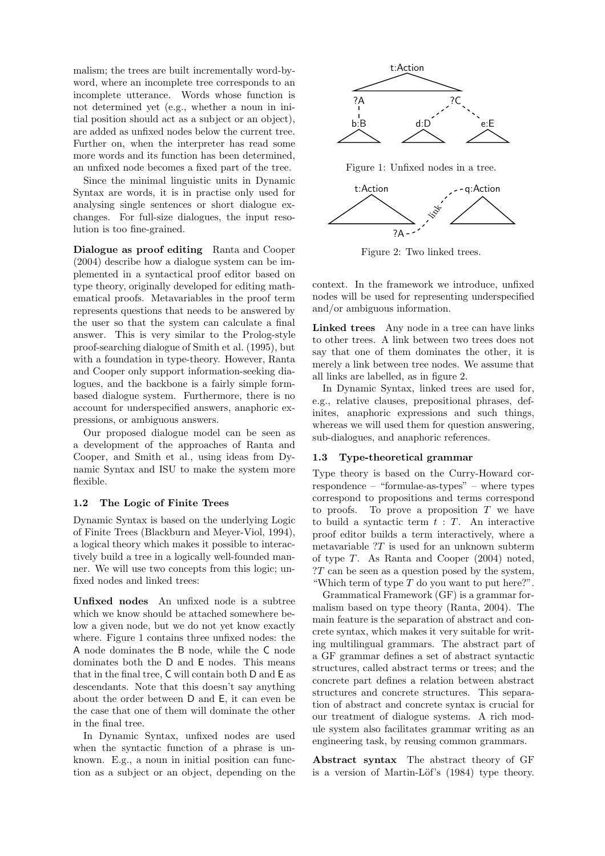malism; the trees are built incrementally word-byword, where an incomplete tree corresponds to an incomplete utterance. Words whose function is not determined yet (e.g., whether a noun in initial position should act as a subject or an object), are added as unfixed nodes below the current tree. Further on, when the interpreter has read some more words and its function has been determined, an unfixed node becomes a fixed part of the tree.

Since the minimal linguistic units in Dynamic Syntax are words, it is in practise only used for analysing single sentences or short dialogue exchanges. For full-size dialogues, the input resolution is too fine-grained.

**Dialogue as proof editing** Ranta and Cooper (2004) describe how a dialogue system can be implemented in a syntactical proof editor based on type theory, originally developed for editing mathematical proofs. Metavariables in the proof term represents questions that needs to be answered by the user so that the system can calculate a final answer. This is very similar to the Prolog-style proof-searching dialogue of Smith et al. (1995), but with a foundation in type-theory. However, Ranta and Cooper only support information-seeking dialogues, and the backbone is a fairly simple formbased dialogue system. Furthermore, there is no account for underspecified answers, anaphoric expressions, or ambiguous answers.

Our proposed dialogue model can be seen as a development of the approaches of Ranta and Cooper, and Smith et al., using ideas from Dynamic Syntax and ISU to make the system more flexible.

#### **1.2 The Logic of Finite Trees**

Dynamic Syntax is based on the underlying Logic of Finite Trees (Blackburn and Meyer-Viol, 1994), a logical theory which makes it possible to interactively build a tree in a logically well-founded manner. We will use two concepts from this logic; unfixed nodes and linked trees:

**Unfixed nodes** An unfixed node is a subtree which we know should be attached somewhere below a given node, but we do not yet know exactly where. Figure 1 contains three unfixed nodes: the A node dominates the B node, while the C node dominates both the D and E nodes. This means that in the final tree, C will contain both D and E as descendants. Note that this doesn't say anything about the order between D and E, it can even be the case that one of them will dominate the other in the final tree.

In Dynamic Syntax, unfixed nodes are used when the syntactic function of a phrase is unknown. E.g., a noun in initial position can function as a subject or an object, depending on the



Figure 1: Unfixed nodes in a tree.



Figure 2: Two linked trees.

context. In the framework we introduce, unfixed nodes will be used for representing underspecified and/or ambiguous information.

**Linked trees** Any node in a tree can have links to other trees. A link between two trees does not say that one of them dominates the other, it is merely a link between tree nodes. We assume that all links are labelled, as in figure 2.

In Dynamic Syntax, linked trees are used for, e.g., relative clauses, prepositional phrases, definites, anaphoric expressions and such things, whereas we will used them for question answering, sub-dialogues, and anaphoric references.

#### **1.3 Type-theoretical grammar**

Type theory is based on the Curry-Howard correspondence – "formulae-as-types" – where types correspond to propositions and terms correspond to proofs. To prove a proposition  $T$  we have to build a syntactic term  $t : T$ . An interactive proof editor builds a term interactively, where a metavariable  $T$  is used for an unknown subterm of type  $T$ . As Ranta and Cooper  $(2004)$  noted, ?T can be seen as a question posed by the system, "Which term of type  $T$  do you want to put here?".

Grammatical Framework (GF) is a grammar formalism based on type theory (Ranta, 2004). The main feature is the separation of abstract and concrete syntax, which makes it very suitable for writing multilingual grammars. The abstract part of a GF grammar defines a set of abstract syntactic structures, called abstract terms or trees; and the concrete part defines a relation between abstract structures and concrete structures. This separation of abstract and concrete syntax is crucial for our treatment of dialogue systems. A rich module system also facilitates grammar writing as an engineering task, by reusing common grammars.

**Abstract syntax** The abstract theory of GF is a version of Martin-Löf's (1984) type theory.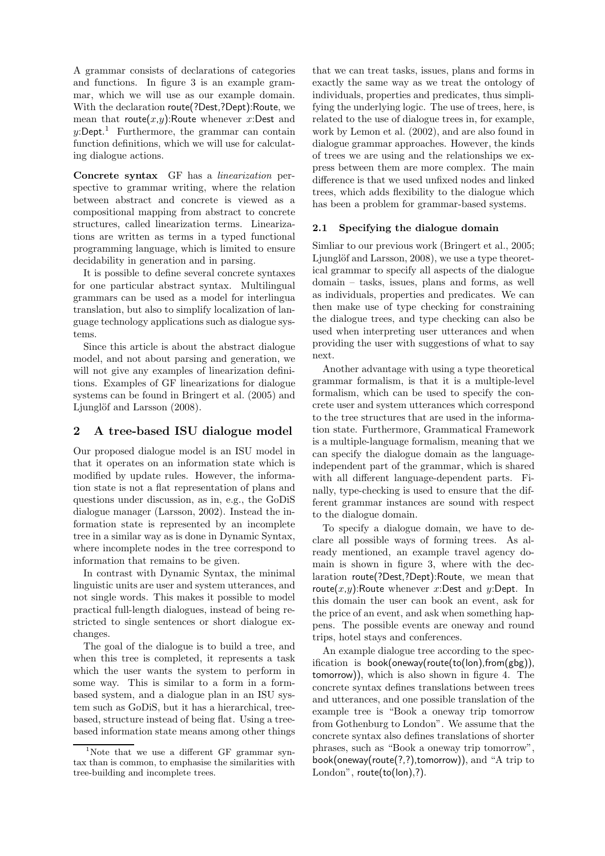A grammar consists of declarations of categories and functions. In figure 3 is an example grammar, which we will use as our example domain. With the declaration route(?Dest,?Dept):Route, we mean that route $(x,y)$ :Route whenever x:Dest and  $y:$ Dept.<sup>1</sup> Furthermore, the grammar can contain function definitions, which we will use for calculating dialogue actions.

**Concrete syntax** GF has a *linearization* perspective to grammar writing, where the relation between abstract and concrete is viewed as a compositional mapping from abstract to concrete structures, called linearization terms. Linearizations are written as terms in a typed functional programming language, which is limited to ensure decidability in generation and in parsing.

It is possible to define several concrete syntaxes for one particular abstract syntax. Multilingual grammars can be used as a model for interlingua translation, but also to simplify localization of language technology applications such as dialogue systems.

Since this article is about the abstract dialogue model, and not about parsing and generation, we will not give any examples of linearization definitions. Examples of GF linearizations for dialogue systems can be found in Bringert et al. (2005) and Ljunglöf and Larsson (2008).

## **2 A tree-based ISU dialogue model**

Our proposed dialogue model is an ISU model in that it operates on an information state which is modified by update rules. However, the information state is not a flat representation of plans and questions under discussion, as in, e.g., the GoDiS dialogue manager (Larsson, 2002). Instead the information state is represented by an incomplete tree in a similar way as is done in Dynamic Syntax, where incomplete nodes in the tree correspond to information that remains to be given.

In contrast with Dynamic Syntax, the minimal linguistic units are user and system utterances, and not single words. This makes it possible to model practical full-length dialogues, instead of being restricted to single sentences or short dialogue exchanges.

The goal of the dialogue is to build a tree, and when this tree is completed, it represents a task which the user wants the system to perform in some way. This is similar to a form in a formbased system, and a dialogue plan in an ISU system such as GoDiS, but it has a hierarchical, treebased, structure instead of being flat. Using a treebased information state means among other things that we can treat tasks, issues, plans and forms in exactly the same way as we treat the ontology of individuals, properties and predicates, thus simplifying the underlying logic. The use of trees, here, is related to the use of dialogue trees in, for example, work by Lemon et al. (2002), and are also found in dialogue grammar approaches. However, the kinds of trees we are using and the relationships we express between them are more complex. The main difference is that we used unfixed nodes and linked trees, which adds flexibility to the dialogue which has been a problem for grammar-based systems.

## **2.1 Specifying the dialogue domain**

Simliar to our previous work (Bringert et al., 2005; Ljunglöf and Larsson, 2008), we use a type theoretical grammar to specify all aspects of the dialogue domain – tasks, issues, plans and forms, as well as individuals, properties and predicates. We can then make use of type checking for constraining the dialogue trees, and type checking can also be used when interpreting user utterances and when providing the user with suggestions of what to say next.

Another advantage with using a type theoretical grammar formalism, is that it is a multiple-level formalism, which can be used to specify the concrete user and system utterances which correspond to the tree structures that are used in the information state. Furthermore, Grammatical Framework is a multiple-language formalism, meaning that we can specify the dialogue domain as the languageindependent part of the grammar, which is shared with all different language-dependent parts. Finally, type-checking is used to ensure that the different grammar instances are sound with respect to the dialogue domain.

To specify a dialogue domain, we have to declare all possible ways of forming trees. As already mentioned, an example travel agency domain is shown in figure 3, where with the declaration route(?Dest,?Dept):Route, we mean that route $(x,y)$ :Route whenever x:Dest and y:Dept. In this domain the user can book an event, ask for the price of an event, and ask when something happens. The possible events are oneway and round trips, hotel stays and conferences.

An example dialogue tree according to the specification is book(oneway(route(to(lon),from(gbg)), tomorrow)), which is also shown in figure 4. The concrete syntax defines translations between trees and utterances, and one possible translation of the example tree is "Book a oneway trip tomorrow from Gothenburg to London". We assume that the concrete syntax also defines translations of shorter phrases, such as "Book a oneway trip tomorrow", book(oneway(route(?,?),tomorrow)), and "A trip to London", route(to(lon),?).

<sup>&</sup>lt;sup>1</sup>Note that we use a different GF grammar syntax than is common, to emphasise the similarities with tree-building and incomplete trees.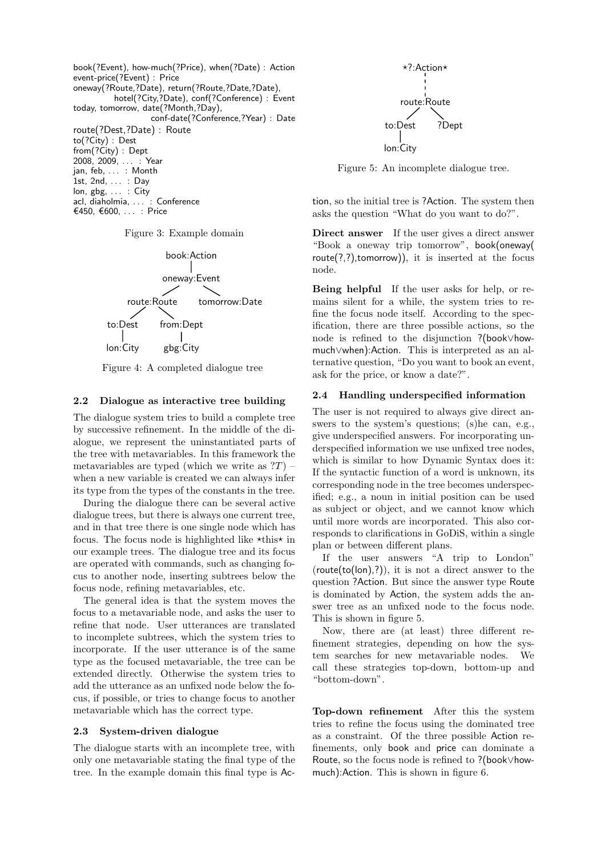



acl, diaholmia, ... : Conference €450, €600, . . . : Price



Figure 4: A completed dialogue tree

#### **2.2 Dialogue as interactive tree building**

The dialogue system tries to build a complete tree by successive refinement. In the middle of the dialogue, we represent the uninstantiated parts of the tree with metavariables. In this framework the metavariables are typed (which we write as  $T$ ) – when a new variable is created we can always infer its type from the types of the constants in the tree.

During the dialogue there can be several active dialogue trees, but there is always one current tree, and in that tree there is one single node which has focus. The focus node is highlighted like  $\star$ this $\star$  in our example trees. The dialogue tree and its focus are operated with commands, such as changing focus to another node, inserting subtrees below the focus node, refining metavariables, etc.

The general idea is that the system moves the focus to a metavariable node, and asks the user to refine that node. User utterances are translated to incomplete subtrees, which the system tries to incorporate. If the user utterance is of the same type as the focused metavariable, the tree can be extended directly. Otherwise the system tries to add the utterance as an unfixed node below the focus, if possible, or tries to change focus to another metavariable which has the correct type.

### **2.3 System-driven dialogue**

The dialogue starts with an incomplete tree, with only one metavariable stating the final type of the tree. In the example domain this final type is Ac-



Figure 5: An incomplete dialogue tree.

tion, so the initial tree is ?Action. The system then asks the question "What do you want to do?".

**Direct answer** If the user gives a direct answer "Book a oneway trip tomorrow", book(oneway(  $route(?,?)$ , tomorrow)), it is inserted at the focus node.

**Being helpful** If the user asks for help, or remains silent for a while, the system tries to refine the focus node itself. According to the specification, there are three possible actions, so the node is refined to the disjunction ?(book∨howmuch∨when):Action. This is interpreted as an alternative question, "Do you want to book an event, ask for the price, or know a date?".

### **2.4 Handling underspecified information**

The user is not required to always give direct answers to the system's questions; (s)he can, e.g., give underspecified answers. For incorporating underspecified information we use unfixed tree nodes, which is similar to how Dynamic Syntax does it: If the syntactic function of a word is unknown, its corresponding node in the tree becomes underspecified; e.g., a noun in initial position can be used as subject or object, and we cannot know which until more words are incorporated. This also corresponds to clarifications in GoDiS, within a single plan or between different plans.

If the user answers "A trip to London"  $(route(to(lon),?))$ , it is not a direct answer to the question ?Action. But since the answer type Route is dominated by Action, the system adds the answer tree as an unfixed node to the focus node. This is shown in figure 5.

Now, there are (at least) three different refinement strategies, depending on how the system searches for new metavariable nodes. We call these strategies top-down, bottom-up and "bottom-down".

**Top-down refinement** After this the system tries to refine the focus using the dominated tree as a constraint. Of the three possible Action refinements, only book and price can dominate a Route, so the focus node is refined to ?(book∨howmuch):Action. This is shown in figure 6.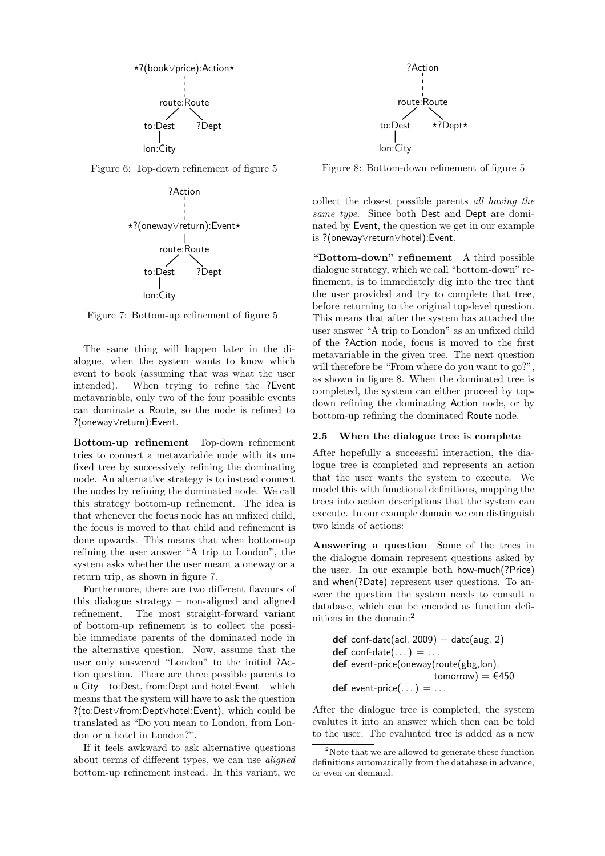

Figure 6: Top-down refinement of figure 5



Figure 7: Bottom-up refinement of figure 5

The same thing will happen later in the dialogue, when the system wants to know which event to book (assuming that was what the user intended). When trying to refine the ?Event metavariable, only two of the four possible events can dominate a Route, so the node is refined to ?(oneway∨return):Event.

**Bottom-up refinement** Top-down refinement tries to connect a metavariable node with its unfixed tree by successively refining the dominating node. An alternative strategy is to instead connect the nodes by refining the dominated node. We call this strategy bottom-up refinement. The idea is that whenever the focus node has an unfixed child, the focus is moved to that child and refinement is done upwards. This means that when bottom-up refining the user answer "A trip to London", the system asks whether the user meant a oneway or a return trip, as shown in figure 7.

Furthermore, there are two different flavours of this dialogue strategy – non-aligned and aligned refinement. The most straight-forward variant of bottom-up refinement is to collect the possible immediate parents of the dominated node in the alternative question. Now, assume that the user only answered "London" to the initial ?Action question. There are three possible parents to a City – to:Dest, from:Dept and hotel:Event – which means that the system will have to ask the question ?(to:Dest∨from:Dept∨hotel:Event), which could be translated as "Do you mean to London, from London or a hotel in London?".

If it feels awkward to ask alternative questions about terms of different types, we can use *aligned* bottom-up refinement instead. In this variant, we



Figure 8: Bottom-down refinement of figure 5

collect the closest possible parents *all having the same type*. Since both Dest and Dept are dominated by Event, the question we get in our example is ?(oneway∨return∨hotel):Event.

**"Bottom-down" refinement** A third possible dialogue strategy, which we call "bottom-down" refinement, is to immediately dig into the tree that the user provided and try to complete that tree, before returning to the original top-level question. This means that after the system has attached the user answer "A trip to London" as an unfixed child of the ?Action node, focus is moved to the first metavariable in the given tree. The next question will therefore be "From where do you want to go?", as shown in figure 8. When the dominated tree is completed, the system can either proceed by topdown refining the dominating Action node, or by bottom-up refining the dominated Route node.

#### **2.5 When the dialogue tree is complete**

After hopefully a successful interaction, the dialogue tree is completed and represents an action that the user wants the system to execute. We model this with functional definitions, mapping the trees into action descriptions that the system can execute. In our example domain we can distinguish two kinds of actions:

**Answering a question** Some of the trees in the dialogue domain represent questions asked by the user. In our example both how-much(?Price) and when(?Date) represent user questions. To answer the question the system needs to consult a database, which can be encoded as function definitions in the domain:<sup>2</sup>

 $def$  conf-date(acl, 2009) = date(aug, 2)  $def$  conf-date $(\dots) = \dots$ **def** event-price(oneway(route(gbg,lon), tomorrow) =  $€450$ **def** event-price $(\dots) = \dots$ 

After the dialogue tree is completed, the system evalutes it into an answer which then can be told to the user. The evaluated tree is added as a new

<sup>&</sup>lt;sup>2</sup>Note that we are allowed to generate these function definitions automatically from the database in advance, or even on demand.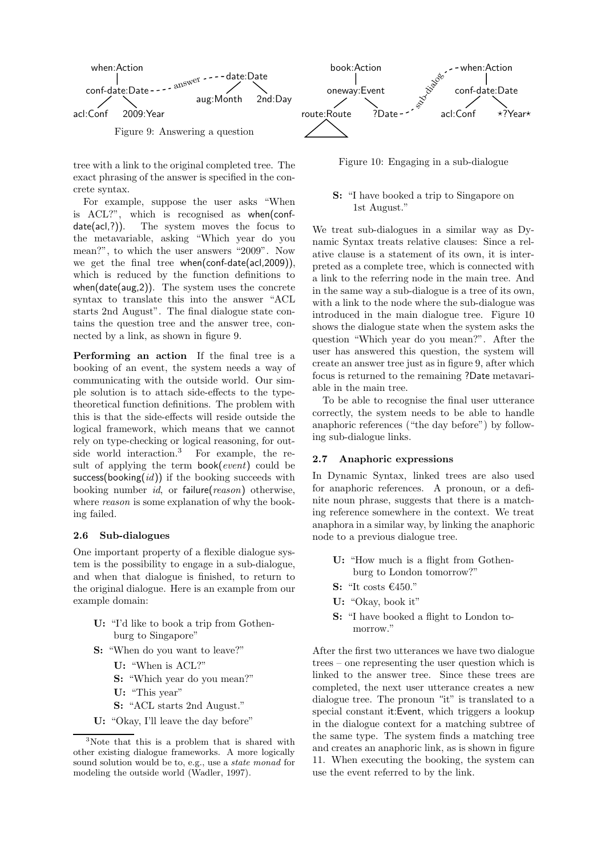

tree with a link to the original completed tree. The exact phrasing of the answer is specified in the concrete syntax.

For example, suppose the user asks "When is ACL?", which is recognised as when(confdate(acl,?)). The system moves the focus to the metavariable, asking "Which year do you mean?", to which the user answers "2009". Now we get the final tree when(conf-date(acl,2009)), which is reduced by the function definitions to when(date(aug,2)). The system uses the concrete syntax to translate this into the answer "ACL starts 2nd August". The final dialogue state contains the question tree and the answer tree, connected by a link, as shown in figure 9.

**Performing an action** If the final tree is a booking of an event, the system needs a way of communicating with the outside world. Our simple solution is to attach side-effects to the typetheoretical function definitions. The problem with this is that the side-effects will reside outside the logical framework, which means that we cannot rely on type-checking or logical reasoning, for outside world interaction.<sup>3</sup> For example, the result of applying the term book(*event*) could be success(booking(*id*)) if the booking succeeds with booking number *id*, or failure(*reason*) otherwise, where *reason* is some explanation of why the booking failed.

#### **2.6 Sub-dialogues**

One important property of a flexible dialogue system is the possibility to engage in a sub-dialogue, and when that dialogue is finished, to return to the original dialogue. Here is an example from our example domain:

- **U:** "I'd like to book a trip from Gothenburg to Singapore"
- **S:** "When do you want to leave?"
	- **U:** "When is ACL?"
	- **S:** "Which year do you mean?"
	- **U:** "This year"
	- **S:** "ACL starts 2nd August."
- **U:** "Okay, I'll leave the day before"



Figure 10: Engaging in a sub-dialogue

## **S:** "I have booked a trip to Singapore on 1st August."

We treat sub-dialogues in a similar way as Dynamic Syntax treats relative clauses: Since a relative clause is a statement of its own, it is interpreted as a complete tree, which is connected with a link to the referring node in the main tree. And in the same way a sub-dialogue is a tree of its own, with a link to the node where the sub-dialogue was introduced in the main dialogue tree. Figure 10 shows the dialogue state when the system asks the question "Which year do you mean?". After the user has answered this question, the system will create an answer tree just as in figure 9, after which focus is returned to the remaining ?Date metavariable in the main tree.

To be able to recognise the final user utterance correctly, the system needs to be able to handle anaphoric references ("the day before") by following sub-dialogue links.

#### **2.7 Anaphoric expressions**

In Dynamic Syntax, linked trees are also used for anaphoric references. A pronoun, or a definite noun phrase, suggests that there is a matching reference somewhere in the context. We treat anaphora in a similar way, by linking the anaphoric node to a previous dialogue tree.

- **U:** "How much is a flight from Gothenburg to London tomorrow?"
- **S:** "It costs €450."
- **U:** "Okay, book it"
- **S:** "I have booked a flight to London tomorrow."

After the first two utterances we have two dialogue trees – one representing the user question which is linked to the answer tree. Since these trees are completed, the next user utterance creates a new dialogue tree. The pronoun "it" is translated to a special constant it:Event, which triggers a lookup in the dialogue context for a matching subtree of the same type. The system finds a matching tree and creates an anaphoric link, as is shown in figure 11. When executing the booking, the system can use the event referred to by the link.

<sup>&</sup>lt;sup>3</sup>Note that this is a problem that is shared with other existing dialogue frameworks. A more logically sound solution would be to, e.g., use a *state monad* for modeling the outside world (Wadler, 1997).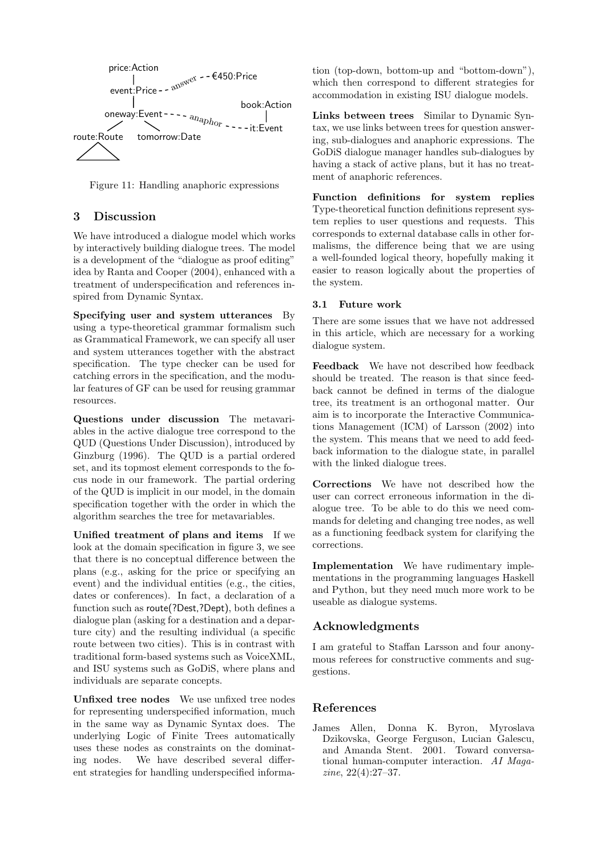

Figure 11: Handling anaphoric expressions

## **3 Discussion**

We have introduced a dialogue model which works by interactively building dialogue trees. The model is a development of the "dialogue as proof editing" idea by Ranta and Cooper (2004), enhanced with a treatment of underspecification and references inspired from Dynamic Syntax.

**Specifying user and system utterances** By using a type-theoretical grammar formalism such as Grammatical Framework, we can specify all user and system utterances together with the abstract specification. The type checker can be used for catching errors in the specification, and the modular features of GF can be used for reusing grammar resources.

**Questions under discussion** The metavariables in the active dialogue tree correspond to the QUD (Questions Under Discussion), introduced by Ginzburg (1996). The QUD is a partial ordered set, and its topmost element corresponds to the focus node in our framework. The partial ordering of the QUD is implicit in our model, in the domain specification together with the order in which the algorithm searches the tree for metavariables.

**Unified treatment of plans and items** If we look at the domain specification in figure 3, we see that there is no conceptual difference between the plans (e.g., asking for the price or specifying an event) and the individual entities (e.g., the cities, dates or conferences). In fact, a declaration of a function such as route(?Dest,?Dept), both defines a dialogue plan (asking for a destination and a departure city) and the resulting individual (a specific route between two cities). This is in contrast with traditional form-based systems such as VoiceXML, and ISU systems such as GoDiS, where plans and individuals are separate concepts.

**Unfixed tree nodes** We use unfixed tree nodes for representing underspecified information, much in the same way as Dynamic Syntax does. The underlying Logic of Finite Trees automatically uses these nodes as constraints on the dominating nodes. We have described several different strategies for handling underspecified information (top-down, bottom-up and "bottom-down"), which then correspond to different strategies for accommodation in existing ISU dialogue models.

**Links between trees** Similar to Dynamic Syntax, we use links between trees for question answering, sub-dialogues and anaphoric expressions. The GoDiS dialogue manager handles sub-dialogues by having a stack of active plans, but it has no treatment of anaphoric references.

**Function definitions for system replies** Type-theoretical function definitions represent system replies to user questions and requests. This corresponds to external database calls in other formalisms, the difference being that we are using a well-founded logical theory, hopefully making it easier to reason logically about the properties of the system.

### **3.1 Future work**

There are some issues that we have not addressed in this article, which are necessary for a working dialogue system.

**Feedback** We have not described how feedback should be treated. The reason is that since feedback cannot be defined in terms of the dialogue tree, its treatment is an orthogonal matter. Our aim is to incorporate the Interactive Communications Management (ICM) of Larsson (2002) into the system. This means that we need to add feedback information to the dialogue state, in parallel with the linked dialogue trees.

**Corrections** We have not described how the user can correct erroneous information in the dialogue tree. To be able to do this we need commands for deleting and changing tree nodes, as well as a functioning feedback system for clarifying the corrections.

**Implementation** We have rudimentary implementations in the programming languages Haskell and Python, but they need much more work to be useable as dialogue systems.

## **Acknowledgments**

I am grateful to Staffan Larsson and four anonymous referees for constructive comments and suggestions.

## **References**

James Allen, Donna K. Byron, Myroslava Dzikovska, George Ferguson, Lucian Galescu, and Amanda Stent. 2001. Toward conversational human-computer interaction. *AI Magazine*, 22(4):27–37.